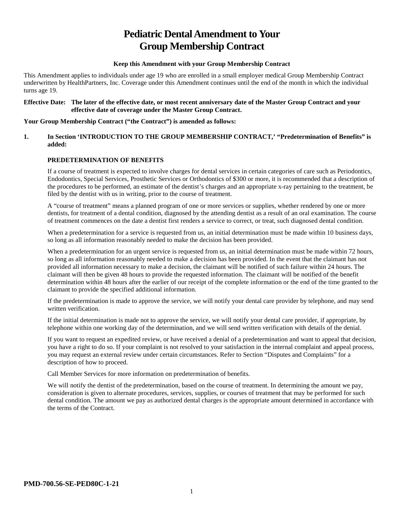# **Pediatric Dental Amendment to Your Group Membership Contract**

#### **Keep this Amendment with your Group Membership Contract**

This Amendment applies to individuals under age 19 who are enrolled in a small employer medical Group Membership Contract underwritten by HealthPartners, Inc. Coverage under this Amendment continues until the end of the month in which the individual turns age 19.

#### **Effective Date: The later of the effective date, or most recent anniversary date of the Master Group Contract and your effective date of coverage under the Master Group Contract.**

#### **Your Group Membership Contract ("the Contract") is amended as follows:**

#### **1. In Section 'INTRODUCTION TO THE GROUP MEMBERSHIP CONTRACT,' "Predetermination of Benefits" is added:**

#### **PREDETERMINATION OF BENEFITS**

If a course of treatment is expected to involve charges for dental services in certain categories of care such as Periodontics, Endodontics, Special Services, Prosthetic Services or Orthodontics of \$300 or more, it is recommended that a description of the procedures to be performed, an estimate of the dentist's charges and an appropriate x-ray pertaining to the treatment, be filed by the dentist with us in writing, prior to the course of treatment.

A "course of treatment" means a planned program of one or more services or supplies, whether rendered by one or more dentists, for treatment of a dental condition, diagnosed by the attending dentist as a result of an oral examination. The course of treatment commences on the date a dentist first renders a service to correct, or treat, such diagnosed dental condition.

When a predetermination for a service is requested from us, an initial determination must be made within 10 business days, so long as all information reasonably needed to make the decision has been provided.

When a predetermination for an urgent service is requested from us, an initial determination must be made within 72 hours, so long as all information reasonably needed to make a decision has been provided. In the event that the claimant has not provided all information necessary to make a decision, the claimant will be notified of such failure within 24 hours. The claimant will then be given 48 hours to provide the requested information. The claimant will be notified of the benefit determination within 48 hours after the earlier of our receipt of the complete information or the end of the time granted to the claimant to provide the specified additional information.

If the predetermination is made to approve the service, we will notify your dental care provider by telephone, and may send written verification.

If the initial determination is made not to approve the service, we will notify your dental care provider, if appropriate, by telephone within one working day of the determination, and we will send written verification with details of the denial.

If you want to request an expedited review, or have received a denial of a predetermination and want to appeal that decision, you have a right to do so. If your complaint is not resolved to your satisfaction in the internal complaint and appeal process, you may request an external review under certain circumstances. Refer to Section "Disputes and Complaints" for a description of how to proceed.

Call Member Services for more information on predetermination of benefits.

We will notify the dentist of the predetermination, based on the course of treatment. In determining the amount we pay, consideration is given to alternate procedures, services, supplies, or courses of treatment that may be performed for such dental condition. The amount we pay as authorized dental charges is the appropriate amount determined in accordance with the terms of the Contract.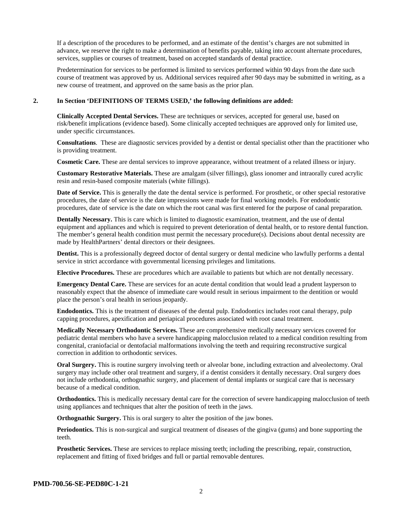If a description of the procedures to be performed, and an estimate of the dentist's charges are not submitted in advance, we reserve the right to make a determination of benefits payable, taking into account alternate procedures, services, supplies or courses of treatment, based on accepted standards of dental practice.

Predetermination for services to be performed is limited to services performed within 90 days from the date such course of treatment was approved by us. Additional services required after 90 days may be submitted in writing, as a new course of treatment, and approved on the same basis as the prior plan.

#### **2. In Section 'DEFINITIONS OF TERMS USED,' the following definitions are added:**

**Clinically Accepted Dental Services.** These are techniques or services, accepted for general use, based on risk/benefit implications (evidence based). Some clinically accepted techniques are approved only for limited use, under specific circumstances.

**Consultations**. These are diagnostic services provided by a dentist or dental specialist other than the practitioner who is providing treatment.

**Cosmetic Care.** These are dental services to improve appearance, without treatment of a related illness or injury.

**Customary Restorative Materials.** These are amalgam (silver fillings), glass ionomer and intraorally cured acrylic resin and resin-based composite materials (white fillings).

**Date of Service.** This is generally the date the dental service is performed. For prosthetic, or other special restorative procedures, the date of service is the date impressions were made for final working models. For endodontic procedures, date of service is the date on which the root canal was first entered for the purpose of canal preparation.

**Dentally Necessary.** This is care which is limited to diagnostic examination, treatment, and the use of dental equipment and appliances and which is required to prevent deterioration of dental health, or to restore dental function. The member's general health condition must permit the necessary procedure(s). Decisions about dental necessity are made by HealthPartners' dental directors or their designees.

**Dentist.** This is a professionally degreed doctor of dental surgery or dental medicine who lawfully performs a dental service in strict accordance with governmental licensing privileges and limitations.

**Elective Procedures.** These are procedures which are available to patients but which are not dentally necessary.

**Emergency Dental Care.** These are services for an acute dental condition that would lead a prudent layperson to reasonably expect that the absence of immediate care would result in serious impairment to the dentition or would place the person's oral health in serious jeopardy.

**Endodontics.** This is the treatment of diseases of the dental pulp. Endodontics includes root canal therapy, pulp capping procedures, apexification and periapical procedures associated with root canal treatment.

**Medically Necessary Orthodontic Services.** These are comprehensive medically necessary services covered for pediatric dental members who have a severe handicapping malocclusion related to a medical condition resulting from congenital, craniofacial or dentofacial malformations involving the teeth and requiring reconstructive surgical correction in addition to orthodontic services.

**Oral Surgery.** This is routine surgery involving teeth or alveolar bone, including extraction and alveolectomy. Oral surgery may include other oral treatment and surgery, if a dentist considers it dentally necessary. Oral surgery does not include orthodontia, orthognathic surgery, and placement of dental implants or surgical care that is necessary because of a medical condition.

**Orthodontics.** This is medically necessary dental care for the correction of severe handicapping malocclusion of teeth using appliances and techniques that alter the position of teeth in the jaws.

**Orthognathic Surgery.** This is oral surgery to alter the position of the jaw bones.

**Periodontics.** This is non-surgical and surgical treatment of diseases of the gingiva (gums) and bone supporting the teeth.

**Prosthetic Services.** These are services to replace missing teeth; including the prescribing, repair, construction, replacement and fitting of fixed bridges and full or partial removable dentures.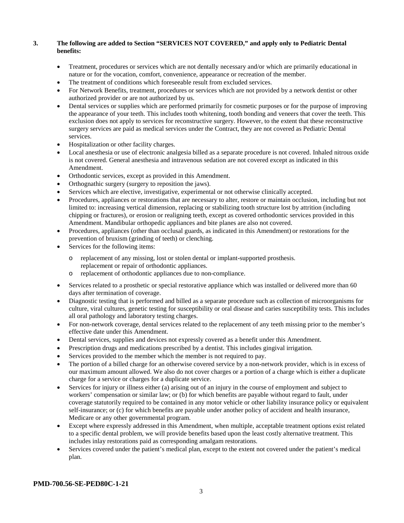#### **3. The following are added to Section "SERVICES NOT COVERED," and apply only to Pediatric Dental benefits:**

- Treatment, procedures or services which are not dentally necessary and/or which are primarily educational in nature or for the vocation, comfort, convenience, appearance or recreation of the member.
- The treatment of conditions which foreseeable result from excluded services.
- For Network Benefits, treatment, procedures or services which are not provided by a network dentist or other authorized provider or are not authorized by us.
- Dental services or supplies which are performed primarily for cosmetic purposes or for the purpose of improving the appearance of your teeth. This includes tooth whitening, tooth bonding and veneers that cover the teeth. This exclusion does not apply to services for reconstructive surgery. However, to the extent that these reconstructive surgery services are paid as medical services under the Contract, they are not covered as Pediatric Dental services.
- Hospitalization or other facility charges.
- Local anesthesia or use of electronic analgesia billed as a separate procedure is not covered. Inhaled nitrous oxide is not covered. General anesthesia and intravenous sedation are not covered except as indicated in this Amendment.
- Orthodontic services, except as provided in this Amendment.
- Orthognathic surgery (surgery to reposition the jaws).
- Services which are elective, investigative, experimental or not otherwise clinically accepted.
- Procedures, appliances or restorations that are necessary to alter, restore or maintain occlusion, including but not limited to: increasing vertical dimension, replacing or stabilizing tooth structure lost by attrition (including chipping or fractures), or erosion or realigning teeth, except as covered orthodontic services provided in this Amendment. Mandibular orthopedic appliances and bite planes are also not covered.
- Procedures, appliances (other than occlusal guards, as indicated in this Amendment) or restorations for the prevention of bruxism (grinding of teeth) or clenching.
- Services for the following items:
	- o replacement of any missing, lost or stolen dental or implant-supported prosthesis. replacement or repair of orthodontic appliances.
	- o replacement of orthodontic appliances due to non-compliance.
- Services related to a prosthetic or special restorative appliance which was installed or delivered more than 60 days after termination of coverage.
- Diagnostic testing that is performed and billed as a separate procedure such as collection of microorganisms for culture, viral cultures, genetic testing for susceptibility or oral disease and caries susceptibility tests. This includes all oral pathology and laboratory testing charges.
- For non-network coverage, dental services related to the replacement of any teeth missing prior to the member's effective date under this Amendment.
- Dental services, supplies and devices not expressly covered as a benefit under this Amendment.
- Prescription drugs and medications prescribed by a dentist. This includes gingival irrigation.
- Services provided to the member which the member is not required to pay.
- The portion of a billed charge for an otherwise covered service by a non-network provider, which is in excess of our maximum amount allowed. We also do not cover charges or a portion of a charge which is either a duplicate charge for a service or charges for a duplicate service.
- Services for injury or illness either (a) arising out of an injury in the course of employment and subject to workers' compensation or similar law; or (b) for which benefits are payable without regard to fault, under coverage statutorily required to be contained in any motor vehicle or other liability insurance policy or equivalent self-insurance; or (c) for which benefits are payable under another policy of accident and health insurance, Medicare or any other governmental program.
- Except where expressly addressed in this Amendment, when multiple, acceptable treatment options exist related to a specific dental problem, we will provide benefits based upon the least costly alternative treatment. This includes inlay restorations paid as corresponding amalgam restorations.
- Services covered under the patient's medical plan, except to the extent not covered under the patient's medical plan.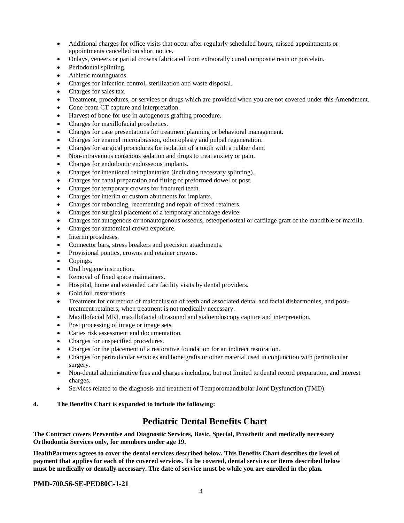- Additional charges for office visits that occur after regularly scheduled hours, missed appointments or appointments cancelled on short notice.
- Onlays, veneers or partial crowns fabricated from extraorally cured composite resin or porcelain.
- Periodontal splinting.
- Athletic mouthguards.
- Charges for infection control, sterilization and waste disposal.
- Charges for sales tax.
- Treatment, procedures, or services or drugs which are provided when you are not covered under this Amendment.
- Cone beam CT capture and interpretation.
- Harvest of bone for use in autogenous grafting procedure.
- Charges for maxillofacial prosthetics.
- Charges for case presentations for treatment planning or behavioral management.
- Charges for enamel microabrasion, odontoplasty and pulpal regeneration.
- Charges for surgical procedures for isolation of a tooth with a rubber dam.
- Non-intravenous conscious sedation and drugs to treat anxiety or pain.
- Charges for endodontic endosseous implants.
- Charges for intentional reimplantation (including necessary splinting).
- Charges for canal preparation and fitting of preformed dowel or post.
- Charges for temporary crowns for fractured teeth.
- Charges for interim or custom abutments for implants.
- Charges for rebonding, recementing and repair of fixed retainers.
- Charges for surgical placement of a temporary anchorage device.
- Charges for autogenous or nonautogenous osseous, osteoperiosteal or cartilage graft of the mandible or maxilla.
- Charges for anatomical crown exposure.
- Interim prostheses.
- Connector bars, stress breakers and precision attachments.
- Provisional pontics, crowns and retainer crowns.
- Copings.
- Oral hygiene instruction.
- Removal of fixed space maintainers.
- Hospital, home and extended care facility visits by dental providers.
- Gold foil restorations.
- Treatment for correction of malocclusion of teeth and associated dental and facial disharmonies, and posttreatment retainers, when treatment is not medically necessary.
- Maxillofacial MRI, maxillofacial ultrasound and sialoendoscopy capture and interpretation.
- Post processing of image or image sets.
- Caries risk assessment and documentation.
- Charges for unspecified procedures.
- Charges for the placement of a restorative foundation for an indirect restoration.
- Charges for periradicular services and bone grafts or other material used in conjunction with periradicular surgery.
- Non-dental administrative fees and charges including, but not limited to dental record preparation, and interest charges.
- Services related to the diagnosis and treatment of Temporomandibular Joint Dysfunction (TMD).

#### **4. The Benefits Chart is expanded to include the following:**

## **Pediatric Dental Benefits Chart**

**The Contract covers Preventive and Diagnostic Services, Basic, Special, Prosthetic and medically necessary Orthodontia Services only, for members under age 19.**

**HealthPartners agrees to cover the dental services described below. This Benefits Chart describes the level of payment that applies for each of the covered services. To be covered, dental services or items described below must be medically or dentally necessary. The date of service must be while you are enrolled in the plan.**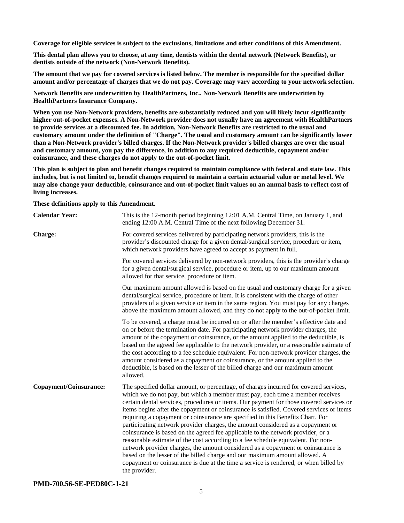**Coverage for eligible services is subject to the exclusions, limitations and other conditions of this Amendment.**

**This dental plan allows you to choose, at any time, dentists within the dental network (Network Benefits), or dentists outside of the network (Non-Network Benefits).**

**The amount that we pay for covered services is listed below. The member is responsible for the specified dollar amount and/or percentage of charges that we do not pay. Coverage may vary according to your network selection.**

**Network Benefits are underwritten by HealthPartners, Inc.. Non-Network Benefits are underwritten by HealthPartners Insurance Company.**

**When you use Non-Network providers, benefits are substantially reduced and you will likely incur significantly higher out-of-pocket expenses. A Non-Network provider does not usually have an agreement with HealthPartners to provide services at a discounted fee. In addition, Non-Network Benefits are restricted to the usual and customary amount under the definition of "Charge". The usual and customary amount can be significantly lower than a Non-Network provider's billed charges. If the Non-Network provider's billed charges are over the usual and customary amount, you pay the difference, in addition to any required deductible, copayment and/or coinsurance, and these charges do not apply to the out-of-pocket limit.**

**This plan is subject to plan and benefit changes required to maintain compliance with federal and state law. This includes, but is not limited to, benefit changes required to maintain a certain actuarial value or metal level. We may also change your deductible, coinsurance and out-of-pocket limit values on an annual basis to reflect cost of living increases.**

**These definitions apply to this Amendment.**

| <b>Calendar Year:</b>  | This is the 12-month period beginning 12:01 A.M. Central Time, on January 1, and<br>ending 12:00 A.M. Central Time of the next following December 31.                                                                                                                                                                                                                                                                                                                                                                                                                                                                                                                                                                                                                                                                                                                                                                                                                               |
|------------------------|-------------------------------------------------------------------------------------------------------------------------------------------------------------------------------------------------------------------------------------------------------------------------------------------------------------------------------------------------------------------------------------------------------------------------------------------------------------------------------------------------------------------------------------------------------------------------------------------------------------------------------------------------------------------------------------------------------------------------------------------------------------------------------------------------------------------------------------------------------------------------------------------------------------------------------------------------------------------------------------|
| Charge:                | For covered services delivered by participating network providers, this is the<br>provider's discounted charge for a given dental/surgical service, procedure or item,<br>which network providers have agreed to accept as payment in full.                                                                                                                                                                                                                                                                                                                                                                                                                                                                                                                                                                                                                                                                                                                                         |
|                        | For covered services delivered by non-network providers, this is the provider's charge<br>for a given dental/surgical service, procedure or item, up to our maximum amount<br>allowed for that service, procedure or item.                                                                                                                                                                                                                                                                                                                                                                                                                                                                                                                                                                                                                                                                                                                                                          |
|                        | Our maximum amount allowed is based on the usual and customary charge for a given<br>dental/surgical service, procedure or item. It is consistent with the charge of other<br>providers of a given service or item in the same region. You must pay for any charges<br>above the maximum amount allowed, and they do not apply to the out-of-pocket limit.                                                                                                                                                                                                                                                                                                                                                                                                                                                                                                                                                                                                                          |
|                        | To be covered, a charge must be incurred on or after the member's effective date and<br>on or before the termination date. For participating network provider charges, the<br>amount of the copayment or coinsurance, or the amount applied to the deductible, is<br>based on the agreed fee applicable to the network provider, or a reasonable estimate of<br>the cost according to a fee schedule equivalent. For non-network provider charges, the<br>amount considered as a copayment or coinsurance, or the amount applied to the<br>deductible, is based on the lesser of the billed charge and our maximum amount<br>allowed.                                                                                                                                                                                                                                                                                                                                               |
| Copayment/Coinsurance: | The specified dollar amount, or percentage, of charges incurred for covered services,<br>which we do not pay, but which a member must pay, each time a member receives<br>certain dental services, procedures or items. Our payment for those covered services or<br>items begins after the copayment or coinsurance is satisfied. Covered services or items<br>requiring a copayment or coinsurance are specified in this Benefits Chart. For<br>participating network provider charges, the amount considered as a copayment or<br>coinsurance is based on the agreed fee applicable to the network provider, or a<br>reasonable estimate of the cost according to a fee schedule equivalent. For non-<br>network provider charges, the amount considered as a copayment or coinsurance is<br>based on the lesser of the billed charge and our maximum amount allowed. A<br>copayment or coinsurance is due at the time a service is rendered, or when billed by<br>the provider. |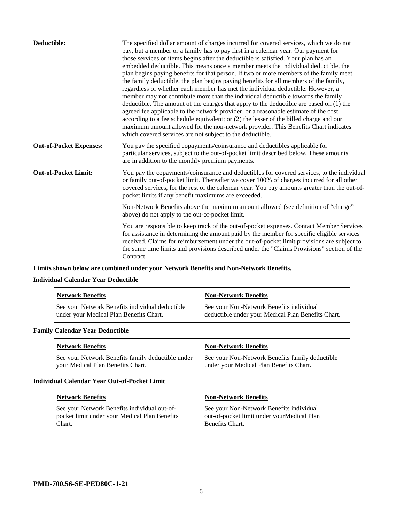| Deductible:                    | The specified dollar amount of charges incurred for covered services, which we do not<br>pay, but a member or a family has to pay first in a calendar year. Our payment for<br>those services or items begins after the deductible is satisfied. Your plan has an<br>embedded deductible. This means once a member meets the individual deductible, the<br>plan begins paying benefits for that person. If two or more members of the family meet<br>the family deductible, the plan begins paying benefits for all members of the family,<br>regardless of whether each member has met the individual deductible. However, a<br>member may not contribute more than the individual deductible towards the family<br>deductible. The amount of the charges that apply to the deductible are based on (1) the<br>agreed fee applicable to the network provider, or a reasonable estimate of the cost<br>according to a fee schedule equivalent; or (2) the lesser of the billed charge and our<br>maximum amount allowed for the non-network provider. This Benefits Chart indicates<br>which covered services are not subject to the deductible. |
|--------------------------------|--------------------------------------------------------------------------------------------------------------------------------------------------------------------------------------------------------------------------------------------------------------------------------------------------------------------------------------------------------------------------------------------------------------------------------------------------------------------------------------------------------------------------------------------------------------------------------------------------------------------------------------------------------------------------------------------------------------------------------------------------------------------------------------------------------------------------------------------------------------------------------------------------------------------------------------------------------------------------------------------------------------------------------------------------------------------------------------------------------------------------------------------------|
| <b>Out-of-Pocket Expenses:</b> | You pay the specified copayments/coinsurance and deductibles applicable for<br>particular services, subject to the out-of-pocket limit described below. These amounts<br>are in addition to the monthly premium payments.                                                                                                                                                                                                                                                                                                                                                                                                                                                                                                                                                                                                                                                                                                                                                                                                                                                                                                                        |
| <b>Out-of-Pocket Limit:</b>    | You pay the copayments/coinsurance and deductibles for covered services, to the individual<br>or family out-of-pocket limit. Thereafter we cover 100% of charges incurred for all other<br>covered services, for the rest of the calendar year. You pay amounts greater than the out-of-<br>pocket limits if any benefit maximums are exceeded.                                                                                                                                                                                                                                                                                                                                                                                                                                                                                                                                                                                                                                                                                                                                                                                                  |
|                                | Non-Network Benefits above the maximum amount allowed (see definition of "charge"<br>above) do not apply to the out-of-pocket limit.                                                                                                                                                                                                                                                                                                                                                                                                                                                                                                                                                                                                                                                                                                                                                                                                                                                                                                                                                                                                             |
|                                | You are responsible to keep track of the out-of-pocket expenses. Contact Member Services<br>for assistance in determining the amount paid by the member for specific eligible services<br>received. Claims for reimbursement under the out-of-pocket limit provisions are subject to<br>the same time limits and provisions described under the "Claims Provisions" section of the<br>Contract.                                                                                                                                                                                                                                                                                                                                                                                                                                                                                                                                                                                                                                                                                                                                                  |

## **Limits shown below are combined under your Network Benefits and Non-Network Benefits.**

## **Individual Calendar Year Deductible**

| <b>Network Benefits</b>                                                                    | <b>Non-Network Benefits</b>                                                                    |
|--------------------------------------------------------------------------------------------|------------------------------------------------------------------------------------------------|
| See your Network Benefits individual deductible<br>under your Medical Plan Benefits Chart. | See your Non-Network Benefits individual<br>deductible under your Medical Plan Benefits Chart. |

## **Family Calendar Year Deductible**

| <b>Network Benefits</b>                                                                | <b>Non-Network Benefits</b>                                                                |
|----------------------------------------------------------------------------------------|--------------------------------------------------------------------------------------------|
| See your Network Benefits family deductible under<br>vour Medical Plan Benefits Chart. | See your Non-Network Benefits family deductible<br>under your Medical Plan Benefits Chart. |

## **Individual Calendar Year Out-of-Pocket Limit**

| <b>Network Benefits</b>                       | <b>Non-Network Benefits</b>                |
|-----------------------------------------------|--------------------------------------------|
| See your Network Benefits individual out-of-  | See your Non-Network Benefits individual   |
| pocket limit under your Medical Plan Benefits | out-of-pocket limit under yourMedical Plan |
| Chart.                                        | Benefits Chart.                            |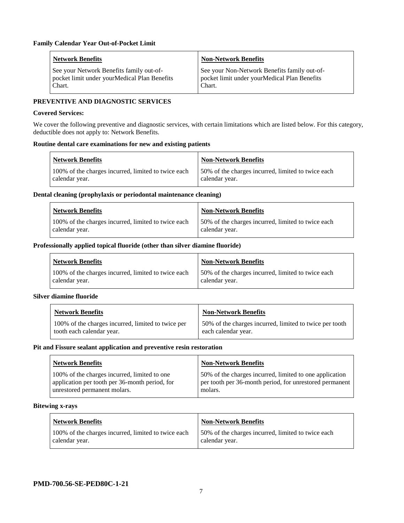| <b>Network Benefits</b>                                                                             | <b>Non-Network Benefits</b>                                                                            |
|-----------------------------------------------------------------------------------------------------|--------------------------------------------------------------------------------------------------------|
| See your Network Benefits family out-of-<br>pocket limit under your Medical Plan Benefits<br>Chart. | See your Non-Network Benefits family out-of-<br>pocket limit under yourMedical Plan Benefits<br>Chart. |

#### **PREVENTIVE AND DIAGNOSTIC SERVICES**

#### **Covered Services:**

We cover the following preventive and diagnostic services, with certain limitations which are listed below. For this category, deductible does not apply to: Network Benefits.

#### **Routine dental care examinations for new and existing patients**

| <b>Network Benefits</b>                                               | <b>Non-Network Benefits</b>                                           |
|-----------------------------------------------------------------------|-----------------------------------------------------------------------|
| 100% of the charges incurred, limited to twice each<br>calendar year. | 150% of the charges incurred, limited to twice each<br>calendar year. |

#### **Dental cleaning (prophylaxis or periodontal maintenance cleaning)**

| Network Benefits                                                      | Non-Network Benefits                                                  |
|-----------------------------------------------------------------------|-----------------------------------------------------------------------|
| 100% of the charges incurred, limited to twice each<br>calendar year. | 150% of the charges incurred, limited to twice each<br>calendar year. |

#### **Professionally applied topical fluoride (other than silver diamine fluoride)**

| Network Benefits                                                      | <b>Non-Network Benefits</b>                                           |
|-----------------------------------------------------------------------|-----------------------------------------------------------------------|
| 100% of the charges incurred, limited to twice each<br>calendar year. | 150% of the charges incurred, limited to twice each<br>calendar year. |

#### **Silver diamine fluoride**

| <b>Network Benefits</b>                            | <b>Non-Network Benefits</b>                             |
|----------------------------------------------------|---------------------------------------------------------|
| 100% of the charges incurred, limited to twice per | 50% of the charges incurred, limited to twice per tooth |
| tooth each calendar year.                          | each calendar year.                                     |

#### **Pit and Fissure sealant application and preventive resin restoration**

| <b>Network Benefits</b>                        | <b>Non-Network Benefits</b>                             |
|------------------------------------------------|---------------------------------------------------------|
| 100% of the charges incurred, limited to one   | 50% of the charges incurred, limited to one application |
| application per tooth per 36-month period, for | per tooth per 36-month period, for unrestored permanent |
| unrestored permanent molars.                   | molars.                                                 |

#### **Bitewing x-rays**

| <b>Network Benefits</b>                             | Non-Network Benefits                               |
|-----------------------------------------------------|----------------------------------------------------|
| 100% of the charges incurred, limited to twice each | 50% of the charges incurred, limited to twice each |
| calendar year.                                      | calendar year.                                     |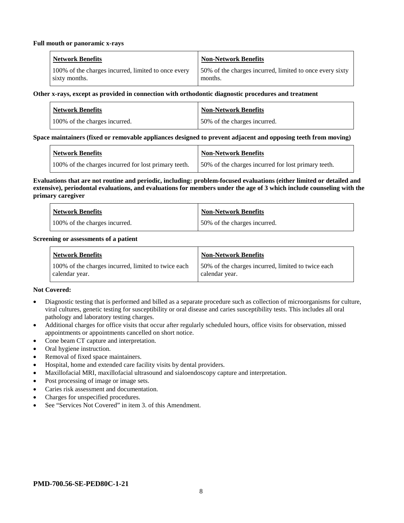#### **Full mouth or panoramic x-rays**

| <b>Network Benefits</b>                             | Non-Network Benefits                                     |
|-----------------------------------------------------|----------------------------------------------------------|
| 100% of the charges incurred, limited to once every | 50% of the charges incurred, limited to once every sixty |
| sixty months.                                       | months.                                                  |

#### **Other x-rays, except as provided in connection with orthodontic diagnostic procedures and treatment**

| <b>Network Benefits</b>       | <b>Non-Network Benefits</b>  |
|-------------------------------|------------------------------|
| 100% of the charges incurred. | 50% of the charges incurred. |

#### **Space maintainers (fixed or removable appliances designed to prevent adjacent and opposing teeth from moving)**

| Network Benefits                                     | <b>Non-Network Benefits</b>                          |
|------------------------------------------------------|------------------------------------------------------|
| 100% of the charges incurred for lost primary teeth. | 150% of the charges incurred for lost primary teeth. |

#### **Evaluations that are not routine and periodic, including: problem-focused evaluations (either limited or detailed and extensive), periodontal evaluations, and evaluations for members under the age of 3 which include counseling with the primary caregiver**

| <b>Network Benefits</b>       | <b>Non-Network Benefits</b>  |
|-------------------------------|------------------------------|
| 100% of the charges incurred. | 50% of the charges incurred. |

#### **Screening or assessments of a patient**

| <b>Network Benefits</b>                                               | <b>Non-Network Benefits</b>                                          |
|-----------------------------------------------------------------------|----------------------------------------------------------------------|
| 100% of the charges incurred, limited to twice each<br>calendar year. | 50% of the charges incurred, limited to twice each<br>calendar year. |

#### **Not Covered:**

- Diagnostic testing that is performed and billed as a separate procedure such as collection of microorganisms for culture, viral cultures, genetic testing for susceptibility or oral disease and caries susceptibility tests. This includes all oral pathology and laboratory testing charges.
- Additional charges for office visits that occur after regularly scheduled hours, office visits for observation, missed appointments or appointments cancelled on short notice.
- Cone beam CT capture and interpretation.
- Oral hygiene instruction.
- Removal of fixed space maintainers.
- Hospital, home and extended care facility visits by dental providers.
- Maxillofacial MRI, maxillofacial ultrasound and sialoendoscopy capture and interpretation.
- Post processing of image or image sets.
- Caries risk assessment and documentation.
- Charges for unspecified procedures.
- See "Services Not Covered" in item 3. of this Amendment.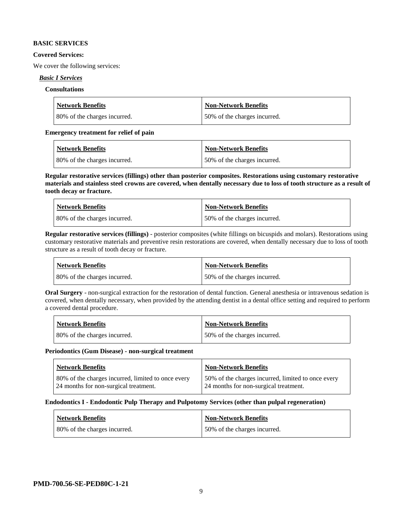#### **BASIC SERVICES**

#### **Covered Services:**

We cover the following services:

#### *Basic I Services*

#### **Consultations**

| <b>Network Benefits</b>      | Non-Network Benefits         |
|------------------------------|------------------------------|
| 80% of the charges incurred. | 50% of the charges incurred. |

#### **Emergency treatment for relief of pain**

| <b>Network Benefits</b>      | <b>Non-Network Benefits</b>  |
|------------------------------|------------------------------|
| 80% of the charges incurred. | 50% of the charges incurred. |

**Regular restorative services (fillings) other than posterior composites. Restorations using customary restorative materials and stainless steel crowns are covered, when dentally necessary due to loss of tooth structure as a result of tooth decay or fracture.**

| <b>Network Benefits</b>       | <b>Non-Network Benefits</b>  |
|-------------------------------|------------------------------|
| 180% of the charges incurred. | 50% of the charges incurred. |

**Regular restorative services (fillings)** - posterior composites (white fillings on bicuspids and molars). Restorations using customary restorative materials and preventive resin restorations are covered, when dentally necessary due to loss of tooth structure as a result of tooth decay or fracture.

| Network Benefits             | <b>Non-Network Benefits</b>  |
|------------------------------|------------------------------|
| 80% of the charges incurred. | 50% of the charges incurred. |

**Oral Surgery** - non-surgical extraction for the restoration of dental function. General anesthesia or intravenous sedation is covered, when dentally necessary, when provided by the attending dentist in a dental office setting and required to perform a covered dental procedure.

| Network Benefits             | <b>Non-Network Benefits</b>  |
|------------------------------|------------------------------|
| 80% of the charges incurred. | 50% of the charges incurred. |

#### **Periodontics (Gum Disease) - non-surgical treatment**

| <b>Network Benefits</b>                            | <b>Non-Network Benefits</b>                        |
|----------------------------------------------------|----------------------------------------------------|
| 80% of the charges incurred, limited to once every | 50% of the charges incurred, limited to once every |
| 24 months for non-surgical treatment.              | 24 months for non-surgical treatment.              |

#### **Endodontics I - Endodontic Pulp Therapy and Pulpotomy Services (other than pulpal regeneration)**

| <b>Network Benefits</b>      | <b>Non-Network Benefits</b>  |
|------------------------------|------------------------------|
| 80% of the charges incurred. | 50% of the charges incurred. |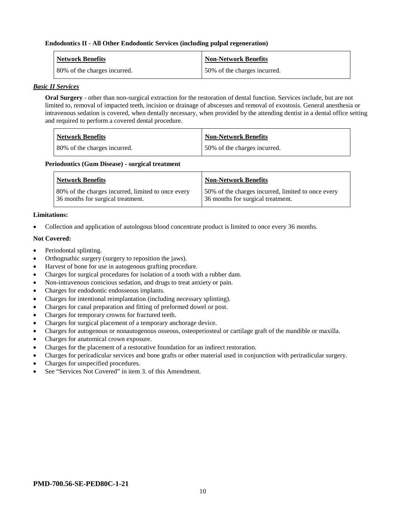#### **Endodontics II - All Other Endodontic Services (including pulpal regeneration)**

| <b>Network Benefits</b>      | <b>Non-Network Benefits</b>  |
|------------------------------|------------------------------|
| 80% of the charges incurred. | 50% of the charges incurred. |

#### *Basic II Services*

**Oral Surgery** - other than non-surgical extraction for the restoration of dental function. Services include, but are not limited to, removal of impacted teeth, incision or drainage of abscesses and removal of exostosis. General anesthesia or intravenous sedation is covered, when dentally necessary, when provided by the attending dentist in a dental office setting and required to perform a covered dental procedure.

| Network Benefits             | <b>Non-Network Benefits</b>  |
|------------------------------|------------------------------|
| 80% of the charges incurred. | 50% of the charges incurred. |

#### **Periodontics (Gum Disease) - surgical treatment**

| <b>Network Benefits</b>                            | <b>Non-Network Benefits</b>                        |
|----------------------------------------------------|----------------------------------------------------|
| 80% of the charges incurred, limited to once every | 50% of the charges incurred, limited to once every |
| 36 months for surgical treatment.                  | 36 months for surgical treatment.                  |

#### **Limitations:**

• Collection and application of autologous blood concentrate product is limited to once every 36 months.

#### **Not Covered:**

- Periodontal splinting.
- Orthognathic surgery (surgery to reposition the jaws).
- Harvest of bone for use in autogenous grafting procedure.
- Charges for surgical procedures for isolation of a tooth with a rubber dam.
- Non-intravenous conscious sedation, and drugs to treat anxiety or pain.
- Charges for endodontic endosseous implants.
- Charges for intentional reimplantation (including necessary splinting).
- Charges for canal preparation and fitting of preformed dowel or post.
- Charges for temporary crowns for fractured teeth.
- Charges for surgical placement of a temporary anchorage device.
- Charges for autogenous or nonautogenous osseous, osteoperiosteal or cartilage graft of the mandible or maxilla.
- Charges for anatomical crown exposure.
- Charges for the placement of a restorative foundation for an indirect restoration.
- Charges for periradicular services and bone grafts or other material used in conjunction with periradicular surgery.
- Charges for unspecified procedures.
- See "Services Not Covered" in item 3, of this Amendment.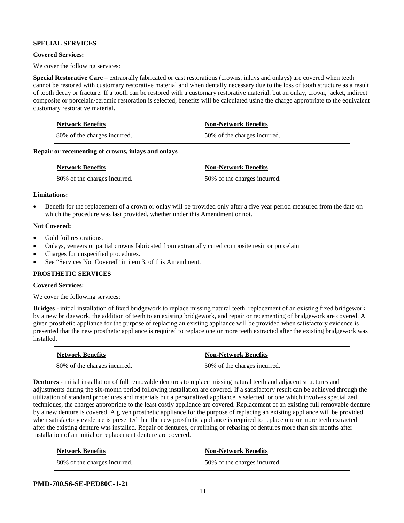#### **SPECIAL SERVICES**

#### **Covered Services:**

We cover the following services:

**Special Restorative Care** – extraorally fabricated or cast restorations (crowns, inlays and onlays) are covered when teeth cannot be restored with customary restorative material and when dentally necessary due to the loss of tooth structure as a result of tooth decay or fracture. If a tooth can be restored with a customary restorative material, but an onlay, crown, jacket, indirect composite or porcelain/ceramic restoration is selected, benefits will be calculated using the charge appropriate to the equivalent customary restorative material.

| Network Benefits             | <b>Non-Network Benefits</b>  |
|------------------------------|------------------------------|
| 80% of the charges incurred. | 50% of the charges incurred. |

**Repair or recementing of crowns, inlays and onlays**

| <b>Network Benefits</b>      | <b>Non-Network Benefits</b>  |
|------------------------------|------------------------------|
| 80% of the charges incurred. | 50% of the charges incurred. |

#### **Limitations:**

• Benefit for the replacement of a crown or onlay will be provided only after a five year period measured from the date on which the procedure was last provided, whether under this Amendment or not.

#### **Not Covered:**

- Gold foil restorations.
- Onlays, veneers or partial crowns fabricated from extraorally cured composite resin or porcelain
- Charges for unspecified procedures.
- See "Services Not Covered" in item 3. of this Amendment.

#### **PROSTHETIC SERVICES**

#### **Covered Services:**

We cover the following services:

**Bridges** - initial installation of fixed bridgework to replace missing natural teeth, replacement of an existing fixed bridgework by a new bridgework, the addition of teeth to an existing bridgework, and repair or recementing of bridgework are covered. A given prosthetic appliance for the purpose of replacing an existing appliance will be provided when satisfactory evidence is presented that the new prosthetic appliance is required to replace one or more teeth extracted after the existing bridgework was installed.

| <b>Network Benefits</b>      | <b>Non-Network Benefits</b>  |
|------------------------------|------------------------------|
| 80% of the charges incurred. | 50% of the charges incurred. |

**Dentures -** initial installation of full removable dentures to replace missing natural teeth and adjacent structures and adjustments during the six-month period following installation are covered. If a satisfactory result can be achieved through the utilization of standard procedures and materials but a personalized appliance is selected, or one which involves specialized techniques, the charges appropriate to the least costly appliance are covered. Replacement of an existing full removable denture by a new denture is covered. A given prosthetic appliance for the purpose of replacing an existing appliance will be provided when satisfactory evidence is presented that the new prosthetic appliance is required to replace one or more teeth extracted after the existing denture was installed. Repair of dentures, or relining or rebasing of dentures more than six months after installation of an initial or replacement denture are covered.

| <b>Network Benefits</b>      | <b>Non-Network Benefits</b>  |
|------------------------------|------------------------------|
| 80% of the charges incurred. | 50% of the charges incurred. |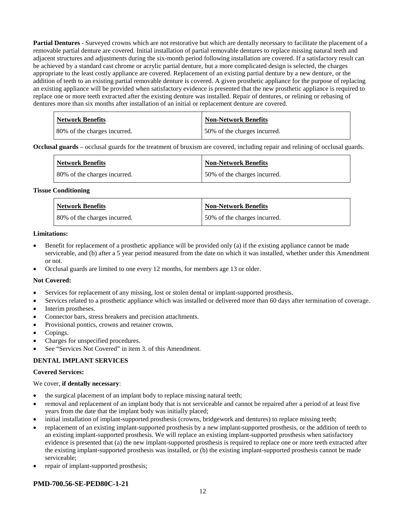**Partial Dentures** - Surveyed crowns which are not restorative but which are dentally necessary to facilitate the placement of a removable partial denture are covered. Initial installation of partial removable dentures to replace missing natural teeth and adjacent structures and adjustments during the six-month period following installation are covered. If a satisfactory result can be achieved by a standard cast chrome or acrylic partial denture, but a more complicated design is selected, the charges appropriate to the least costly appliance are covered. Replacement of an existing partial denture by a new denture, or the addition of teeth to an existing partial removable denture is covered. A given prosthetic appliance for the purpose of replacing an existing appliance will be provided when satisfactory evidence is presented that the new prosthetic appliance is required to replace one or more teeth extracted after the existing denture was installed. Repair of dentures, or relining or rebasing of dentures more than six months after installation of an initial or replacement denture are covered.

| <b>Network Benefits</b>      | Non-Network Benefits         |
|------------------------------|------------------------------|
| 80% of the charges incurred. | 50% of the charges incurred. |

**Occlusal guards** – occlusal guards for the treatment of bruxism are covered, including repair and relining of occlusal guards.

| <b>Network Benefits</b>      | <b>Non-Network Benefits</b>  |
|------------------------------|------------------------------|
| 80% of the charges incurred. | 50% of the charges incurred. |

#### **Tissue Conditioning**

| <b>Network Benefits</b>      | Non-Network Benefits          |
|------------------------------|-------------------------------|
| 80% of the charges incurred. | 150% of the charges incurred. |

#### **Limitations:**

- Benefit for replacement of a prosthetic appliance will be provided only (a) if the existing appliance cannot be made serviceable, and (b) after a 5 year period measured from the date on which it was installed, whether under this Amendment or not.
- Occlusal guards are limited to one every 12 months, for members age 13 or older.

#### **Not Covered:**

- Services for replacement of any missing, lost or stolen dental or implant-supported prosthesis.
- Services related to a prosthetic appliance which was installed or delivered more than 60 days after termination of coverage.
- Interim prostheses.
- Connector bars, stress breakers and precision attachments.
- Provisional pontics, crowns and retainer crowns.
- Copings.
- Charges for unspecified procedures.
- See "Services Not Covered" in item 3. of this Amendment.

#### **DENTAL IMPLANT SERVICES**

#### **Covered Services:**

#### We cover, **if dentally necessary**:

- the surgical placement of an implant body to replace missing natural teeth;
- removal and replacement of an implant body that is not serviceable and cannot be repaired after a period of at least five years from the date that the implant body was initially placed;
- initial installation of implant-supported prosthesis (crowns, bridgework and dentures) to replace missing teeth;
- replacement of an existing implant-supported prosthesis by a new implant-supported prosthesis, or the addition of teeth to an existing implant-supported prosthesis. We will replace an existing implant-supported prosthesis when satisfactory evidence is presented that (a) the new implant-supported prosthesis is required to replace one or more teeth extracted after the existing implant-supported prosthesis was installed, or (b) the existing implant-supported prosthesis cannot be made serviceable;
- repair of implant-supported prosthesis;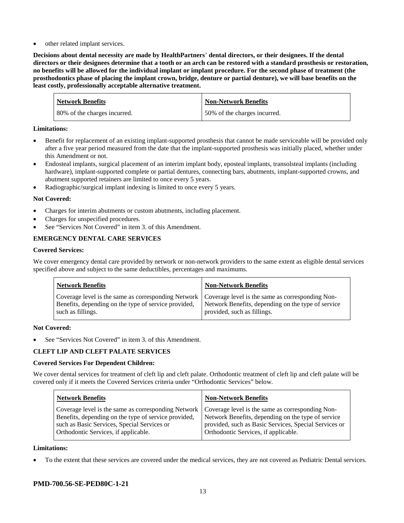other related implant services.

**Decisions about dental necessity are made by HealthPartners**' **dental directors, or their designees. If the dental directors or their designees determine that a tooth or an arch can be restored with a standard prosthesis or restoration, no benefits will be allowed for the individual implant or implant procedure. For the second phase of treatment (the prosthodontics phase of placing the implant crown, bridge, denture or partial denture), we will base benefits on the least costly, professionally acceptable alternative treatment.**

| <b>Network Benefits</b>      | <b>Non-Network Benefits</b>  |
|------------------------------|------------------------------|
| 80% of the charges incurred. | 50% of the charges incurred. |

#### **Limitations:**

- Benefit for replacement of an existing implant-supported prosthesis that cannot be made serviceable will be provided only after a five year period measured from the date that the implant-supported prosthesis was initially placed, whether under this Amendment or not.
- Endosteal implants, surgical placement of an interim implant body, eposteal implants, transolsteal implants (including hardware), implant-supported complete or partial dentures, connecting bars, abutments, implant-supported crowns, and abutment supported retainers are limited to once every 5 years.
- Radiographic/surgical implant indexing is limited to once every 5 years.

#### **Not Covered:**

- Charges for interim abutments or custom abutments, including placement.
- Charges for unspecified procedures.
- See "Services Not Covered" in item 3. of this Amendment.

## **EMERGENCY DENTAL CARE SERVICES**

#### **Covered Services:**

We cover emergency dental care provided by network or non-network providers to the same extent as eligible dental services specified above and subject to the same deductibles, percentages and maximums.

| <b>Network Benefits</b>                                                                                                                                                             | <b>Non-Network Benefits</b>                                                       |
|-------------------------------------------------------------------------------------------------------------------------------------------------------------------------------------|-----------------------------------------------------------------------------------|
| Coverage level is the same as corresponding Network   Coverage level is the same as corresponding Non-<br>Benefits, depending on the type of service provided,<br>such as fillings. | Network Benefits, depending on the type of service<br>provided, such as fillings. |

#### **Not Covered:**

See "Services Not Covered" in item 3. of this Amendment.

#### **CLEFT LIP AND CLEFT PALATE SERVICES**

#### **Covered Services For Dependent Children:**

We cover dental services for treatment of cleft lip and cleft palate. Orthodontic treatment of cleft lip and cleft palate will be covered only if it meets the Covered Services criteria under "Orthodontic Services" below.

| <b>Network Benefits</b>                              | <b>Non-Network Benefits</b>                           |
|------------------------------------------------------|-------------------------------------------------------|
| Coverage level is the same as corresponding Network  | Coverage level is the same as corresponding Non-      |
| Benefits, depending on the type of service provided, | Network Benefits, depending on the type of service    |
| such as Basic Services, Special Services or          | provided, such as Basic Services, Special Services or |
| Orthodontic Services, if applicable.                 | Orthodontic Services, if applicable.                  |

#### **Limitations:**

• To the extent that these services are covered under the medical services, they are not covered as Pediatric Dental services.